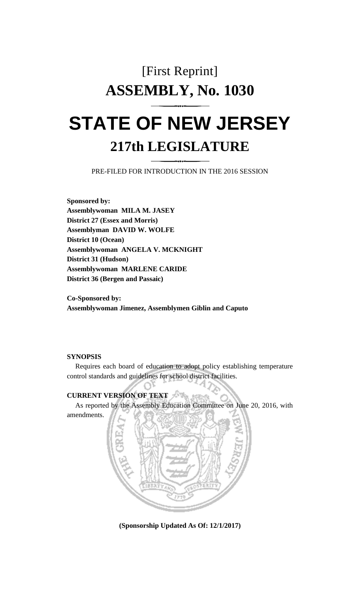# [First Reprint] **ASSEMBLY, No. 1030**

## **STATE OF NEW JERSEY 217th LEGISLATURE**

PRE-FILED FOR INTRODUCTION IN THE 2016 SESSION

**Sponsored by: Assemblywoman MILA M. JASEY District 27 (Essex and Morris) Assemblyman DAVID W. WOLFE District 10 (Ocean) Assemblywoman ANGELA V. MCKNIGHT District 31 (Hudson) Assemblywoman MARLENE CARIDE District 36 (Bergen and Passaic)**

**Co-Sponsored by: Assemblywoman Jimenez, Assemblymen Giblin and Caputo**

#### **SYNOPSIS**

amendments.

Requires each board of education to adopt policy establishing temperature control standards and guidelines for school district facilities.

### **CURRENT VERSION OF TEXT**

As reported by the Assembly Education Committee on June 20, 2016, with



**(Sponsorship Updated As Of: 12/1/2017)**